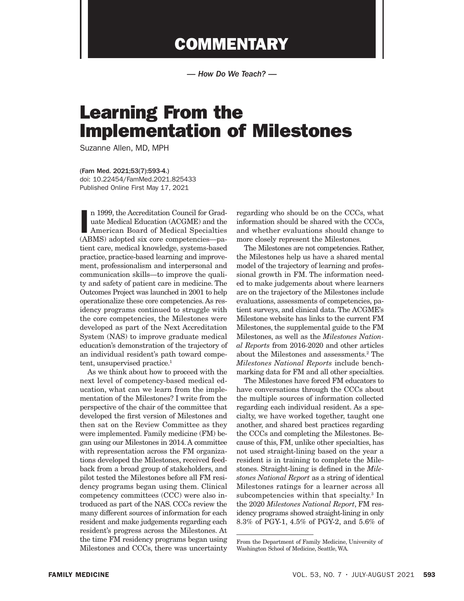## **COMMENTARY**

*— How Do We Teach? —*

## Learning From the Implementation of Milestones

Suzanne Allen, MD, MPH

(Fam Med. 2021;53(7):593-4.) doi: 10.22454/FamMed.2021.825433 Published Online First May 17, 2021

n 1999, the Accreditation Council for Graduate Medical Education (ACGME) and the American Board of Medical Specialties (ABMS) adopted six core competencies—pan 1999, the Accreditation Council for Graduate Medical Education (ACGME) and the American Board of Medical Specialties tient care, medical knowledge, systems-based practice, practice-based learning and improvement, professionalism and interpersonal and communication skills—to improve the quality and safety of patient care in medicine. The Outcomes Project was launched in 2001 to help operationalize these core competencies. As residency programs continued to struggle with the core competencies, the Milestones were developed as part of the Next Accreditation System (NAS) to improve graduate medical education's demonstration of the trajectory of an individual resident's path toward competent, unsupervised practice.<sup>1</sup>

As we think about how to proceed with the next level of competency-based medical education, what can we learn from the implementation of the Milestones? I write from the perspective of the chair of the committee that developed the first version of Milestones and then sat on the Review Committee as they were implemented. Family medicine (FM) began using our Milestones in 2014. A committee with representation across the FM organizations developed the Milestones, received feedback from a broad group of stakeholders, and pilot tested the Milestones before all FM residency programs began using them. Clinical competency committees (CCC) were also introduced as part of the NAS. CCCs review the many different sources of information for each resident and make judgements regarding each resident's progress across the Milestones. At the time FM residency programs began using Milestones and CCCs, there was uncertainty

regarding who should be on the CCCs, what information should be shared with the CCCs, and whether evaluations should change to more closely represent the Milestones.

The Milestones are not competencies. Rather, the Milestones help us have a shared mental model of the trajectory of learning and professional growth in FM. The information needed to make judgements about where learners are on the trajectory of the Milestones include evaluations, assessments of competencies, patient surveys, and clinical data. The ACGME's Milestone website has links to the current FM Milestones, the supplemental guide to the FM Milestones, as well as the *Milestones National Reports* from 2016-2020 and other articles about the Milestones and assessments.2 The *Milestones National Reports* include benchmarking data for FM and all other specialties.

The Milestones have forced FM educators to have conversations through the CCCs about the multiple sources of information collected regarding each individual resident. As a specialty, we have worked together, taught one another, and shared best practices regarding the CCCs and completing the Milestones. Because of this, FM, unlike other specialties, has not used straight-lining based on the year a resident is in training to complete the Milestones. Straight-lining is defined in the *Milestones National Report* as a string of identical Milestones ratings for a learner across all subcompetencies within that specialty.<sup>3</sup> In the 2020 *Milestones National Report*, FM residency programs showed straight-lining in only 8.3% of PGY-1, 4.5% of PGY-2, and 5.6% of

From the Department of Family Medicine, University of Washington School of Medicine, Seattle, WA.